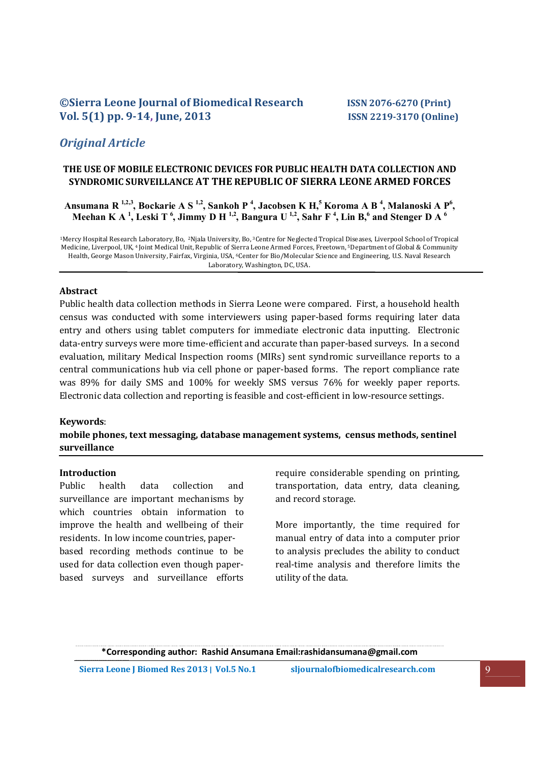# **©Sierra Leone Journal of Biomedical Research ISSN 2076-6270 (Print) Vol. 5(1) pp. 9-14, June, 2013 ISSN 2219-3170 (Online)**

# *Original Article*

## **THE USE OF MOBILE ELECTRONIC DEVICES FOR PUBLIC HEALTH DATA COLLECTION AND SYNDROMIC SURVEILLANCE AT THE REPUBLIC OF SIERRA LEONE ARMED FORCES**

**Ansumana R 1,2,3, Bockarie A S 1,2, Sankoh P 4 , Jacobsen K H,5 Koroma A B 4 , Malanoski A P6 , Meehan K A 1 , Leski T 6 , Jimmy D H 1,2, Bangura U 1,2, Sahr F 4 , Lin B,6 and Stenger D A 6**

1Mercy Hospital Research Laboratory, Bo, 2Njala University, Bo, 3Centre for Neglected Tropical Diseases, Liverpool School of Tropical Medicine, Liverpool, UK, 4 Joint Medical Unit, Republic of Sierra Leone Armed Forces, Freetown, 5Department of Global & Community Health, George Mason University, Fairfax, Virginia, USA, 6Center for Bio/Molecular Science and Engineering, U.S. Naval Research Laboratory, Washington, DC, USA.

# **Abstract**

Public health data collection methods in Sierra Leone were compared. First, a household health census was conducted with some interviewers using paper-based forms requiring later data entry and others using tablet computers for immediate electronic data inputting. Electronic data-entry surveys were more time-efficient and accurate than paper-based surveys. In a second evaluation, military Medical Inspection rooms (MIRs) sent syndromic surveillance reports to a central communications hub via cell phone or paper-based forms. The report compliance rate was 89% for daily SMS and 100% for weekly SMS versus 76% for weekly paper reports. Electronic data collection and reporting is feasible and cost-efficient in low-resource settings.

#### **Keywords**:

## **mobile phones, text messaging, database management systems, census methods, sentinel surveillance**

#### **Introduction**

Public health data collection and surveillance are important mechanisms by which countries obtain information to improve the health and wellbeing of their residents. In low income countries, paperbased recording methods continue to be used for data collection even though paperbased surveys and surveillance efforts require considerable spending on printing, transportation, data entry, data cleaning, and record storage.

More importantly, the time required for manual entry of data into a computer prior to analysis precludes the ability to conduct real-time analysis and therefore limits the utility of the data.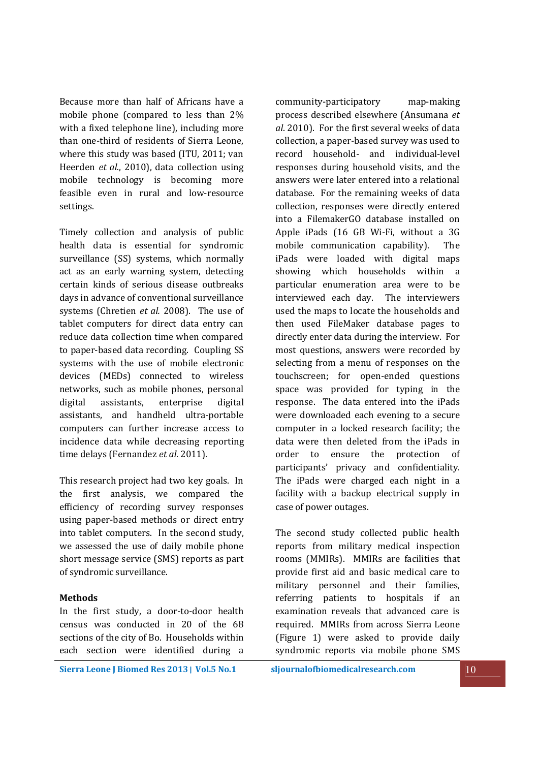Because more than half of Africans have a mobile phone (compared to less than 2% with a fixed telephone line), including more than one-third of residents of Sierra Leone, where this study was based (ITU, 2011; van Heerden *et al.*, 2010), data collection using mobile technology is becoming more feasible even in rural and low-resource settings.

Timely collection and analysis of public health data is essential for syndromic surveillance (SS) systems, which normally act as an early warning system, detecting certain kinds of serious disease outbreaks days in advance of conventional surveillance systems (Chretien *et al.* 2008). The use of tablet computers for direct data entry can reduce data collection time when compared to paper-based data recording. Coupling SS systems with the use of mobile electronic devices (MEDs) connected to wireless networks, such as mobile phones, personal digital assistants, enterprise digital assistants, and handheld ultra-portable computers can further increase access to incidence data while decreasing reporting time delays (Fernandez *et al*. 2011).

This research project had two key goals. In the first analysis, we compared the efficiency of recording survey responses using paper-based methods or direct entry into tablet computers. In the second study, we assessed the use of daily mobile phone short message service (SMS) reports as part of syndromic surveillance.

### **Methods**

In the first study, a door-to-door health census was conducted in 20 of the 68 sections of the city of Bo. Households within each section were identified during a community-participatory map-making process described elsewhere (Ansumana *et al*. 2010). For the first several weeks of data collection, a paper-based survey was used to record household- and individual-level responses during household visits, and the answers were later entered into a relational database. For the remaining weeks of data collection, responses were directly entered into a FilemakerGO database installed on Apple iPads (16 GB Wi-Fi, without a 3G mobile communication capability). The iPads were loaded with digital maps showing which households within a particular enumeration area were to be interviewed each day. The interviewers used the maps to locate the households and then used FileMaker database pages to directly enter data during the interview. For most questions, answers were recorded by selecting from a menu of responses on the touchscreen; for open-ended questions space was provided for typing in the response. The data entered into the iPads were downloaded each evening to a secure computer in a locked research facility; the data were then deleted from the iPads in order to ensure the protection of participants' privacy and confidentiality. The iPads were charged each night in a facility with a backup electrical supply in case of power outages.

The second study collected public health reports from military medical inspection rooms (MMIRs). MMIRs are facilities that provide first aid and basic medical care to military personnel and their families, referring patients to hospitals if an examination reveals that advanced care is required. MMIRs from across Sierra Leone (Figure 1) were asked to provide daily syndromic reports via mobile phone SMS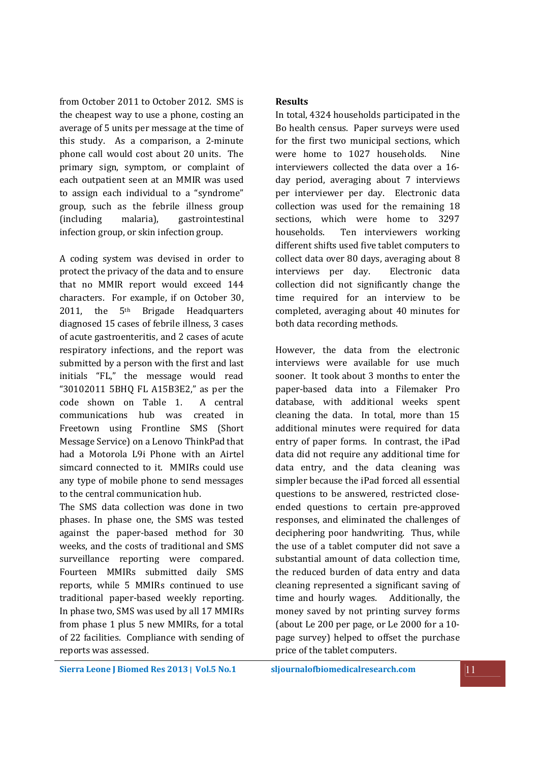from October 2011 to October 2012. SMS is the cheapest way to use a phone, costing an average of 5 units per message at the time of this study. As a comparison, a 2-minute phone call would cost about 20 units. The primary sign, symptom, or complaint of each outpatient seen at an MMIR was used to assign each individual to a "syndrome" group, such as the febrile illness group (including malaria), gastrointestinal infection group, or skin infection group.

A coding system was devised in order to protect the privacy of the data and to ensure that no MMIR report would exceed 144 characters. For example, if on October 30, 2011, the  $5<sup>th</sup>$  Brigade Headquarters diagnosed 15 cases of febrile illness, 3 cases of acute gastroenteritis, and 2 cases of acute respiratory infections, and the report was submitted by a person with the first and last initials "FL," the message would read "30102011 5BHQ FL A15B3E2," as per the code shown on Table 1. A central communications hub was created in Freetown using Frontline SMS (Short Message Service) on a Lenovo ThinkPad that had a Motorola L9i Phone with an Airtel simcard connected to it. MMIRs could use any type of mobile phone to send messages to the central communication hub.

The SMS data collection was done in two phases. In phase one, the SMS was tested against the paper-based method for 30 weeks, and the costs of traditional and SMS surveillance reporting were compared. Fourteen MMIRs submitted daily SMS reports, while 5 MMIRs continued to use traditional paper-based weekly reporting. In phase two, SMS was used by all 17 MMIRs from phase 1 plus 5 new MMIRs, for a total of 22 facilities. Compliance with sending of reports was assessed.

# **Results**

In total, 4324 households participated in the Bo health census. Paper surveys were used for the first two municipal sections, which were home to 1027 households. Nine interviewers collected the data over a 16 day period, averaging about 7 interviews per interviewer per day. Electronic data collection was used for the remaining 18 sections, which were home to 3297 households. Ten interviewers working different shifts used five tablet computers to collect data over 80 days, averaging about 8 interviews per day. Electronic data collection did not significantly change the time required for an interview to be completed, averaging about 40 minutes for both data recording methods.

However, the data from the electronic interviews were available for use much sooner. It took about 3 months to enter the paper-based data into a Filemaker Pro database, with additional weeks spent cleaning the data. In total, more than 15 additional minutes were required for data entry of paper forms. In contrast, the iPad data did not require any additional time for data entry, and the data cleaning was simpler because the iPad forced all essential questions to be answered, restricted closeended questions to certain pre-approved responses, and eliminated the challenges of deciphering poor handwriting. Thus, while the use of a tablet computer did not save a substantial amount of data collection time, the reduced burden of data entry and data cleaning represented a significant saving of time and hourly wages. Additionally, the money saved by not printing survey forms (about Le 200 per page, or Le 2000 for a 10 page survey) helped to offset the purchase price of the tablet computers.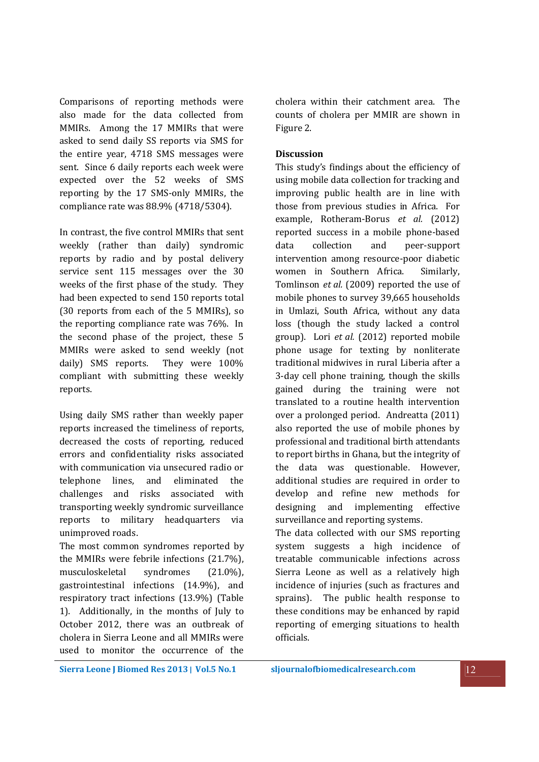Comparisons of reporting methods were also made for the data collected from MMIRs. Among the 17 MMIRs that were asked to send daily SS reports via SMS for the entire year, 4718 SMS messages were sent. Since 6 daily reports each week were expected over the 52 weeks of SMS reporting by the 17 SMS-only MMIRs, the compliance rate was 88.9% (4718/5304).

In contrast, the five control MMIRs that sent weekly (rather than daily) syndromic reports by radio and by postal delivery service sent 115 messages over the 30 weeks of the first phase of the study. They had been expected to send 150 reports total (30 reports from each of the 5 MMIRs), so the reporting compliance rate was 76%. In the second phase of the project, these 5 MMIRs were asked to send weekly (not daily) SMS reports. They were 100% compliant with submitting these weekly reports.

Using daily SMS rather than weekly paper reports increased the timeliness of reports, decreased the costs of reporting, reduced errors and confidentiality risks associated with communication via unsecured radio or telephone lines, and eliminated the challenges and risks associated with transporting weekly syndromic surveillance reports to military headquarters via unimproved roads.

The most common syndromes reported by the MMIRs were febrile infections (21.7%), musculoskeletal syndromes (21.0%), gastrointestinal infections (14.9%), and respiratory tract infections (13.9%) (Table 1). Additionally, in the months of July to October 2012, there was an outbreak of cholera in Sierra Leone and all MMIRs were used to monitor the occurrence of the

cholera within their catchment area. The counts of cholera per MMIR are shown in Figure 2.

### **Discussion**

This study's findings about the efficiency of using mobile data collection for tracking and improving public health are in line with those from previous studies in Africa. For example, Rotheram-Borus *et al.* (2012) reported success in a mobile phone-based data collection and peer-support intervention among resource-poor diabetic women in Southern Africa. Similarly, Tomlinson *et al.* (2009) reported the use of mobile phones to survey 39,665 households in Umlazi, South Africa, without any data loss (though the study lacked a control group). Lori *et al.* (2012) reported mobile phone usage for texting by nonliterate traditional midwives in rural Liberia after a 3-day cell phone training, though the skills gained during the training were not translated to a routine health intervention over a prolonged period. Andreatta (2011) also reported the use of mobile phones by professional and traditional birth attendants to report births in Ghana, but the integrity of the data was questionable. However, additional studies are required in order to develop and refine new methods for designing and implementing effective surveillance and reporting systems.

The data collected with our SMS reporting system suggests a high incidence of treatable communicable infections across Sierra Leone as well as a relatively high incidence of injuries (such as fractures and sprains). The public health response to these conditions may be enhanced by rapid reporting of emerging situations to health officials.